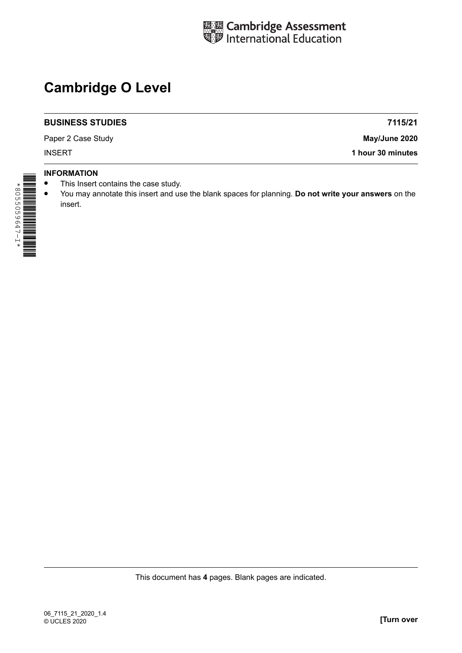

# **Cambridge O Level**

#### **BUSINESS STUDIES**

Paper 2 Case Study

**7115/21 May/June 2020**

INSERT **1 hour 30 minutes**

### **INFORMATION**

- This Insert contains the case study.<br>• You may appotate this insert and us
- **•** You may annotate this insert and use the blank spaces for planning. **Do not write your answers** on the insert.

This document has **4** pages. Blank pages are indicated.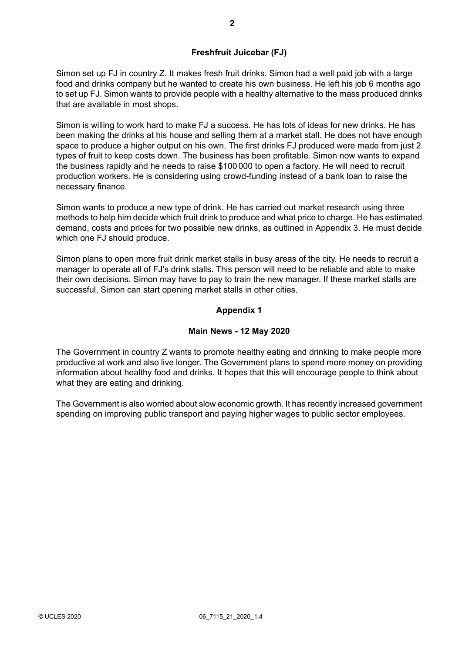## **Freshfruit Juicebar (FJ)**

Simon set up FJ in country Z. It makes fresh fruit drinks. Simon had a well paid job with a large food and drinks company but he wanted to create his own business. He left his job 6 months ago to set up FJ. Simon wants to provide people with a healthy alternative to the mass produced drinks that are available in most shops.

Simon is willing to work hard to make FJ a success. He has lots of ideas for new drinks. He has been making the drinks at his house and selling them at a market stall. He does not have enough space to produce a higher output on his own. The first drinks FJ produced were made from just 2 types of fruit to keep costs down. The business has been profitable. Simon now wants to expand the business rapidly and he needs to raise \$100 000 to open a factory. He will need to recruit production workers. He is considering using crowd-funding instead of a bank loan to raise the necessary finance.

Simon wants to produce a new type of drink. He has carried out market research using three methods to help him decide which fruit drink to produce and what price to charge. He has estimated demand, costs and prices for two possible new drinks, as outlined in Appendix 3. He must decide which one FJ should produce.

Simon plans to open more fruit drink market stalls in busy areas of the city. He needs to recruit a manager to operate all of FJ's drink stalls. This person will need to be reliable and able to make their own decisions. Simon may have to pay to train the new manager. If these market stalls are successful, Simon can start opening market stalls in other cities.

## **Appendix 1**

## **Main News - 12 May 2020**

The Government in country Z wants to promote healthy eating and drinking to make people more productive at work and also live longer. The Government plans to spend more money on providing information about healthy food and drinks. It hopes that this will encourage people to think about what they are eating and drinking.

The Government is also worried about slow economic growth. It has recently increased government spending on improving public transport and paying higher wages to public sector employees.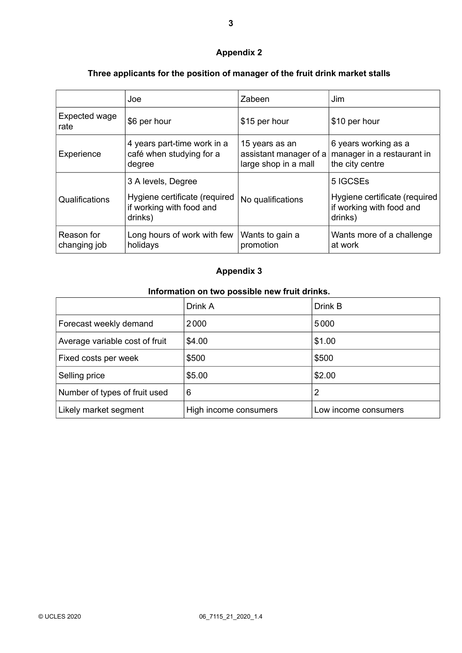# **Appendix 2**

# **Three applicants for the position of manager of the fruit drink market stalls**

|                            | Joe                                                                                        | Zabeen                                                           | Jim                                                                              |
|----------------------------|--------------------------------------------------------------------------------------------|------------------------------------------------------------------|----------------------------------------------------------------------------------|
| Expected wage<br>rate      | \$6 per hour                                                                               | \$15 per hour                                                    | \$10 per hour                                                                    |
| Experience                 | 4 years part-time work in a<br>café when studying for a<br>degree                          | 15 years as an<br>assistant manager of a<br>large shop in a mall | 6 years working as a<br>manager in a restaurant in<br>the city centre            |
| Qualifications             | 3 A levels, Degree<br>Hygiene certificate (required<br>if working with food and<br>drinks) | No qualifications                                                | 5 IGCSEs<br>Hygiene certificate (required<br>if working with food and<br>drinks) |
| Reason for<br>changing job | Long hours of work with few<br>holidays                                                    | Wants to gain a<br>promotion                                     | Wants more of a challenge<br>at work                                             |

## **Appendix 3**

## **Information on two possible new fruit drinks.**

|                                | Drink A               | Drink B              |
|--------------------------------|-----------------------|----------------------|
| Forecast weekly demand         | 2000                  | 5000                 |
| Average variable cost of fruit | \$4.00                | \$1.00               |
| Fixed costs per week           | \$500                 | \$500                |
| Selling price                  | \$5.00                | \$2.00               |
| Number of types of fruit used  | 6                     | 2                    |
| Likely market segment          | High income consumers | Low income consumers |